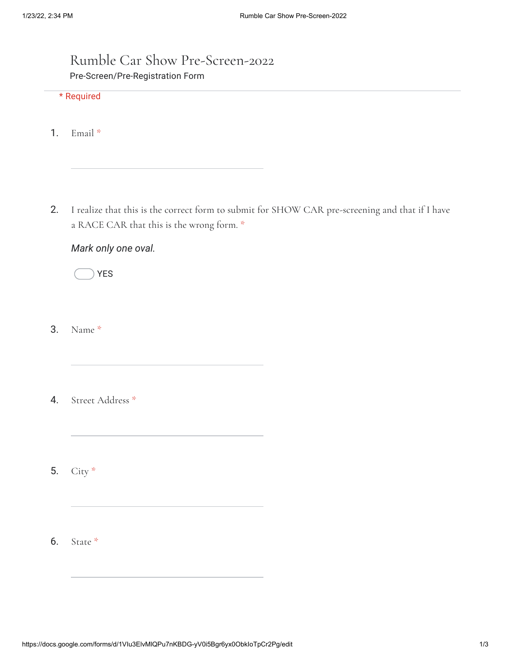## Rumble Car Show Pre-Screen-2022 Pre-Screen/Pre-Registration Form

## \* Required

- 1. Email \*
- 2. I realize that this is the correct form to submit for SHOW CAR pre-screening and that if I have a RACE CAR that this is the wrong form. \*

## *Mark only one oval.*

YES

- 3. Name \*
- 4. Street Address \*
- 5. City \*
- 6. State \*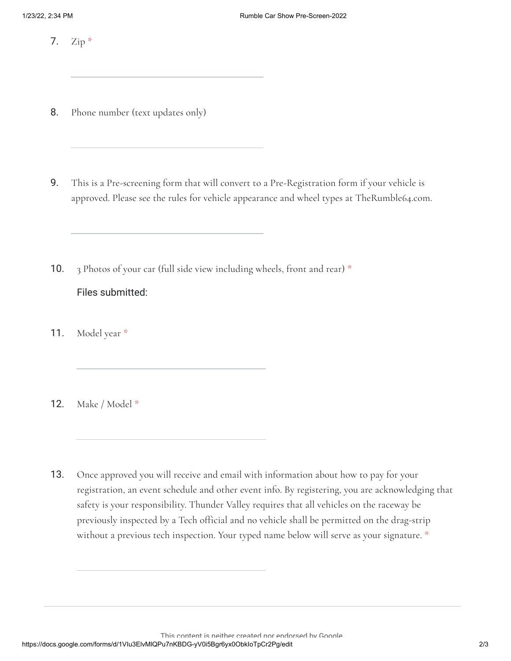7. Zip \*

- 8. Phone number (text updates only)
- 9. This is a Pre-screening form that will convert to a Pre-Registration form if your vehicle is approved. Please see the rules for vehicle appearance and wheel types at TheRumble64.com.
- 10. Files submitted: 3 Photos of your car (full side view including wheels, front and rear) \*
- 11. Model year \*

12. Make / Model \*

13. Once approved you will receive and email with information about how to pay for your registration, an event schedule and other event info. By registering, you are acknowledging that safety is your responsibility. Thunder Valley requires that all vehicles on the raceway be previously inspected by a Tech official and no vehicle shall be permitted on the drag-strip without a previous tech inspection. Your typed name below will serve as your signature. \*